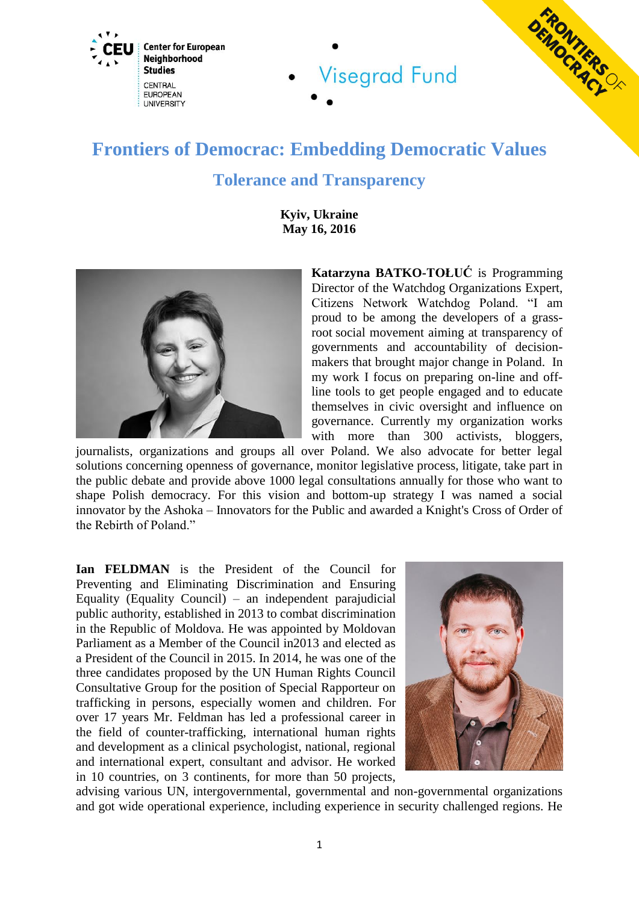



## **Frontiers of Democrac: Embedding Democratic Values Tolerance and Transparency**

**Visegrad Fund** 

**Kyiv, Ukraine May 16, 2016**



**Katarzyna BATKO-TOŁUĆ** is Programming Director of the Watchdog Organizations Expert, Citizens Network Watchdog Poland. "I am proud to be among the developers of a grassroot social movement aiming at transparency of governments and accountability of decisionmakers that brought major change in Poland. In my work I focus on preparing on-line and offline tools to get people engaged and to educate themselves in civic oversight and influence on governance. Currently my organization works with more than 300 activists, bloggers,

journalists, organizations and groups all over Poland. We also advocate for better legal solutions concerning openness of governance, monitor legislative process, litigate, take part in the public debate and provide above 1000 legal consultations annually for those who want to shape Polish democracy. For this vision and bottom-up strategy I was named a social innovator by the Ashoka – Innovators for the Public and awarded a Knight's Cross of Order of the Rebirth of Poland."

**Ian FELDMAN** is the President of the Council for Preventing and Eliminating Discrimination and Ensuring Equality (Equality Council) – an independent parajudicial public authority, established in 2013 to combat discrimination in the Republic of Moldova. He was appointed by Moldovan Parliament as a Member of the Council in2013 and elected as a President of the Council in 2015. In 2014, he was one of the three candidates proposed by the UN Human Rights Council Consultative Group for the position of Special Rapporteur on trafficking in persons, especially women and children. For over 17 years Mr. Feldman has led a professional career in the field of counter-trafficking, international human rights and development as a clinical psychologist, national, regional and international expert, consultant and advisor. He worked in 10 countries, on 3 continents, for more than 50 projects,



advising various UN, intergovernmental, governmental and non-governmental organizations and got wide operational experience, including experience in security challenged regions. He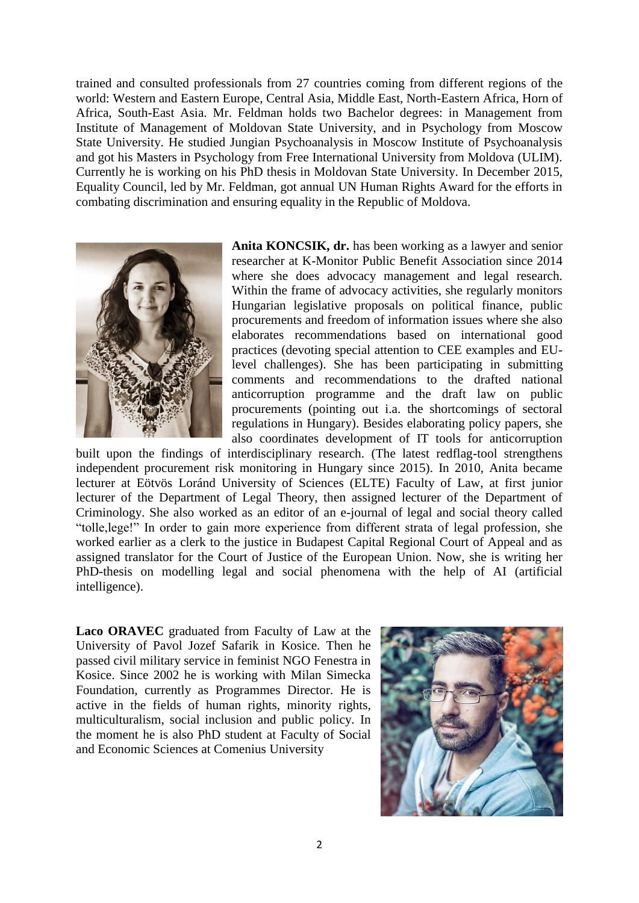trained and consulted professionals from 27 countries coming from different regions of the world: Western and Eastern Europe, Central Asia, Middle East, North-Eastern Africa, Horn of Africa, South-East Asia. Mr. Feldman holds two Bachelor degrees: in Management from Institute of Management of Moldovan State University, and in Psychology from Moscow State University. He studied Jungian Psychoanalysis in Moscow Institute of Psychoanalysis and got his Masters in Psychology from Free International University from Moldova (ULIM). Currently he is working on his PhD thesis in Moldovan State University. In December 2015, Equality Council, led by Mr. Feldman, got annual UN Human Rights Award for the efforts in combating discrimination and ensuring equality in the Republic of Moldova.



**Anita KONCSIK, dr.** has been working as a lawyer and senior researcher at K-Monitor Public Benefit Association since 2014 where she does advocacy management and legal research. Within the frame of advocacy activities, she regularly monitors Hungarian legislative proposals on political finance, public procurements and freedom of information issues where she also elaborates recommendations based on international good practices (devoting special attention to CEE examples and EUlevel challenges). She has been participating in submitting comments and recommendations to the drafted national anticorruption programme and the draft law on public procurements (pointing out i.a. the shortcomings of sectoral regulations in Hungary). Besides elaborating policy papers, she also coordinates development of IT tools for anticorruption

built upon the findings of interdisciplinary research. (The latest redflag-tool strengthens independent procurement risk monitoring in Hungary since 2015). In 2010, Anita became lecturer at Eötvös Loránd University of Sciences (ELTE) Faculty of Law, at first junior lecturer of the Department of Legal Theory, then assigned lecturer of the Department of Criminology. She also worked as an editor of an e-journal of legal and social theory called "tolle,lege!" In order to gain more experience from different strata of legal profession, she worked earlier as a clerk to the justice in Budapest Capital Regional Court of Appeal and as assigned translator for the Court of Justice of the European Union. Now, she is writing her PhD-thesis on modelling legal and social phenomena with the help of AI (artificial intelligence).

**Laco ORAVEC** graduated from Faculty of Law at the University of Pavol Jozef Safarik in Kosice. Then he passed civil military service in feminist NGO Fenestra in Kosice. Since 2002 he is working with Milan Simecka Foundation, currently as Programmes Director. He is active in the fields of human rights, minority rights, multiculturalism, social inclusion and public policy. In the moment he is also PhD student at Faculty of Social and Economic Sciences at Comenius University

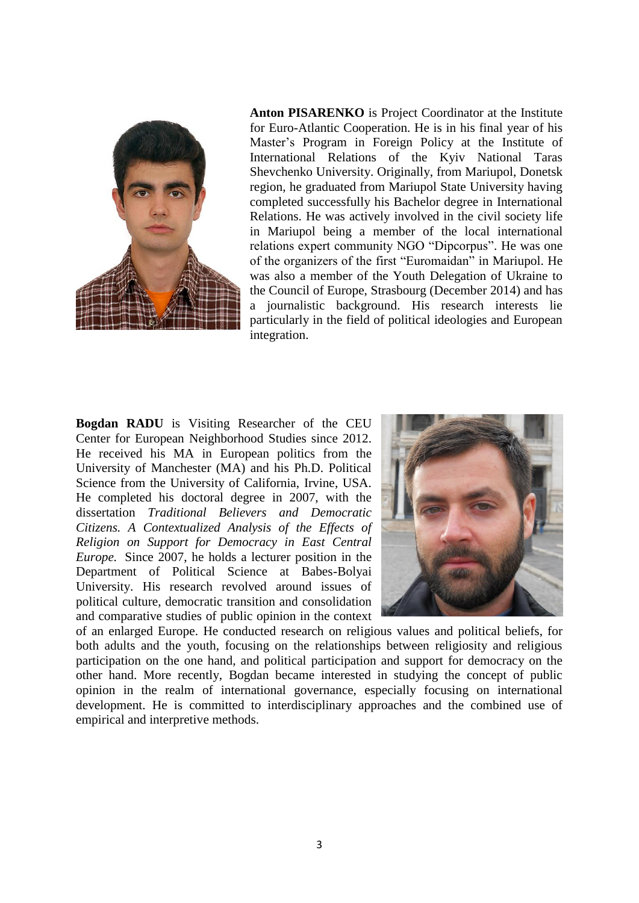

**Anton PISARENKO** is Project Coordinator at the Institute for Euro-Atlantic Cooperation. He is in his final year of his Master's Program in Foreign Policy at the Institute of International Relations of the Kyiv National Taras Shevchenko University. Originally, from Mariupol, Donetsk region, he graduated from Mariupol State University having completed successfully his Bachelor degree in International Relations. He was actively involved in the civil society life in Mariupol being a member of the local international relations expert community NGO "Dipcorpus". He was one of the organizers of the first "Euromaidan" in Mariupol. He was also a member of the Youth Delegation of Ukraine to the Council of Europe, Strasbourg (December 2014) and has a journalistic background. His research interests lie particularly in the field of political ideologies and European integration.

**Bogdan RADU** is Visiting Researcher of the CEU Center for European Neighborhood Studies since 2012. He received his MA in European politics from the University of Manchester (MA) and his Ph.D. Political Science from the University of California, Irvine, USA. He completed his doctoral degree in 2007, with the dissertation *Traditional Believers and Democratic Citizens. A Contextualized Analysis of the Effects of Religion on Support for Democracy in East Central Europe.* Since 2007, he holds a lecturer position in the Department of Political Science at Babes-Bolyai University. His research revolved around issues of political culture, democratic transition and consolidation and comparative studies of public opinion in the context



of an enlarged Europe. He conducted research on religious values and political beliefs, for both adults and the youth, focusing on the relationships between religiosity and religious participation on the one hand, and political participation and support for democracy on the other hand. More recently, Bogdan became interested in studying the concept of public opinion in the realm of international governance, especially focusing on international development. He is committed to interdisciplinary approaches and the combined use of empirical and interpretive methods.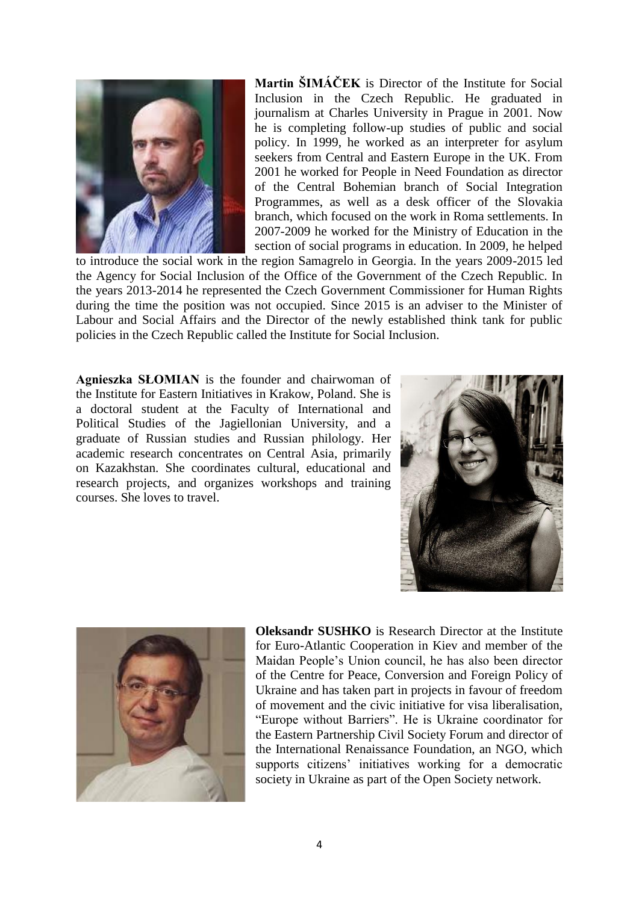

**Martin ŠIMÁČEK** is Director of the Institute for Social Inclusion in the Czech Republic. He graduated in journalism at Charles University in Prague in 2001. Now he is completing follow-up studies of public and social policy. In 1999, he worked as an interpreter for asylum seekers from Central and Eastern Europe in the UK. From 2001 he worked for People in Need Foundation as director of the Central Bohemian branch of Social Integration Programmes, as well as a desk officer of the Slovakia branch, which focused on the work in Roma settlements. In 2007-2009 he worked for the Ministry of Education in the section of social programs in education. In 2009, he helped

to introduce the social work in the region Samagrelo in Georgia. In the years 2009-2015 led the Agency for Social Inclusion of the Office of the Government of the Czech Republic. In the years 2013-2014 he represented the Czech Government Commissioner for Human Rights during the time the position was not occupied. Since 2015 is an adviser to the Minister of Labour and Social Affairs and the Director of the newly established think tank for public policies in the Czech Republic called the Institute for Social Inclusion.

**Agnieszka SŁOMIAN** is the founder and chairwoman of the Institute for Eastern Initiatives in Krakow, Poland. She is a doctoral student at the Faculty of International and Political Studies of the Jagiellonian University, and a graduate of Russian studies and Russian philology. Her academic research concentrates on Central Asia, primarily on Kazakhstan. She coordinates cultural, educational and research projects, and organizes workshops and training courses. She loves to travel.





**Oleksandr SUSHKO** is Research Director at the Institute for Euro-Atlantic Cooperation in Kiev and member of the Maidan People's Union council, he has also been director of the Centre for Peace, Conversion and Foreign Policy of Ukraine and has taken part in projects in favour of freedom of movement and the civic initiative for visa liberalisation, "Europe without Barriers". He is Ukraine coordinator for the Eastern Partnership Civil Society Forum and director of the International Renaissance Foundation, an NGO, which supports citizens' initiatives working for a democratic society in Ukraine as part of the Open Society network.